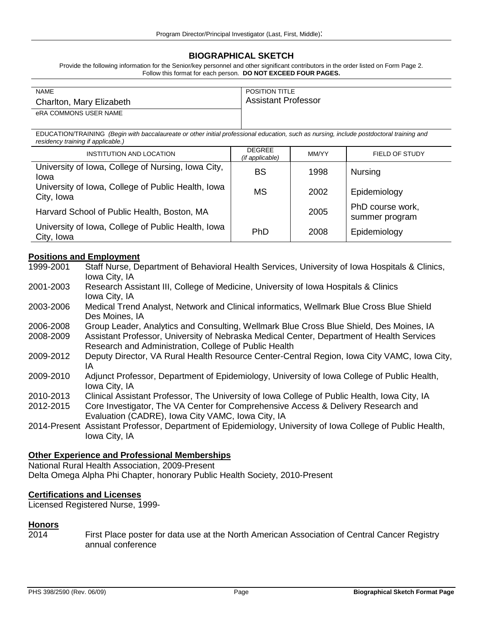# **BIOGRAPHICAL SKETCH**

Provide the following information for the Senior/key personnel and other significant contributors in the order listed on Form Page 2. Follow this format for each person. **DO NOT EXCEED FOUR PAGES.**

| <b>NAME</b>              | <b>POSITION TITLE</b>      |
|--------------------------|----------------------------|
| Charlton, Mary Elizabeth | <b>Assistant Professor</b> |
| eRA COMMONS USER NAME    |                            |

EDUCATION/TRAINING *(Begin with baccalaureate or other initial professional education, such as nursing, include postdoctoral training and residency training if applicable.)*

| INSTITUTION AND LOCATION                                         | <b>DEGREE</b><br>(if applicable) | MM/YY | FIELD OF STUDY                     |
|------------------------------------------------------------------|----------------------------------|-------|------------------------------------|
| University of Iowa, College of Nursing, Iowa City,<br>Iowa       | <b>BS</b>                        | 1998  | <b>Nursing</b>                     |
| University of Iowa, College of Public Health, Iowa<br>City, Iowa | <b>MS</b>                        | 2002  | Epidemiology                       |
| Harvard School of Public Health, Boston, MA                      |                                  | 2005  | PhD course work,<br>summer program |
| University of Iowa, College of Public Health, Iowa<br>City, Iowa | <b>PhD</b>                       | 2008  | Epidemiology                       |

# **Positions and Employment**

| Staff Nurse, Department of Behavioral Health Services, University of Iowa Hospitals & Clinics,             |
|------------------------------------------------------------------------------------------------------------|
| Iowa City, IA                                                                                              |
| Research Assistant III, College of Medicine, University of Iowa Hospitals & Clinics                        |
| Iowa City, IA                                                                                              |
| Medical Trend Analyst, Network and Clinical informatics, Wellmark Blue Cross Blue Shield                   |
| Des Moines, IA                                                                                             |
| Group Leader, Analytics and Consulting, Wellmark Blue Cross Blue Shield, Des Moines, IA                    |
| Assistant Professor, University of Nebraska Medical Center, Department of Health Services                  |
| Research and Administration, College of Public Health                                                      |
| Deputy Director, VA Rural Health Resource Center-Central Region, Iowa City VAMC, Iowa City,                |
| ΙA                                                                                                         |
| Adjunct Professor, Department of Epidemiology, University of Iowa College of Public Health,                |
| Iowa City, IA                                                                                              |
| Clinical Assistant Professor, The University of Iowa College of Public Health, Iowa City, IA               |
| Core Investigator, The VA Center for Comprehensive Access & Delivery Research and                          |
| Evaluation (CADRE), Iowa City VAMC, Iowa City, IA                                                          |
| 2014-Present Assistant Professor, Department of Epidemiology, University of Iowa College of Public Health, |
| Iowa City, IA                                                                                              |
|                                                                                                            |

### **Other Experience and Professional Memberships**

National Rural Health Association, 2009-Present Delta Omega Alpha Phi Chapter, honorary Public Health Society, 2010-Present

## **Certifications and Licenses**

Licensed Registered Nurse, 1999-

### **Honors**

2014 First Place poster for data use at the North American Association of Central Cancer Registry annual conference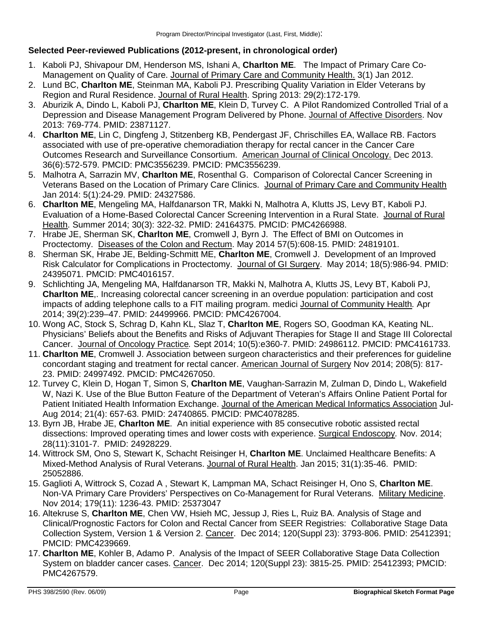# **Selected Peer-reviewed Publications (2012-present, in chronological order)**

- 1. Kaboli PJ, Shivapour DM, Henderson MS, Ishani A, **Charlton ME**. The Impact of Primary Care Co-Management on Quality of Care. Journal of Primary Care and Community Health. 3(1) Jan 2012.
- 2. Lund BC, **Charlton ME**, Steinman MA, Kaboli PJ. Prescribing Quality Variation in Elder Veterans by Region and Rural Residence. Journal of Rural Health. Spring 2013: 29(2):172-179.
- 3. Aburizik A, Dindo L, Kaboli PJ, **Charlton ME**, Klein D, Turvey C. A Pilot Randomized Controlled Trial of a Depression and Disease Management Program Delivered by Phone. Journal of Affective Disorders. Nov 2013: 769-774. PMID: 23871127.
- 4. **Charlton ME**, Lin C, Dingfeng J, Stitzenberg KB, Pendergast JF, Chrischilles EA, Wallace RB. Factors associated with use of pre-operative chemoradiation therapy for rectal cancer in the Cancer Care Outcomes Research and Surveillance Consortium. American Journal of Clinical Oncology. Dec 2013. 36(6):572-579. PMCID: PMC3556239. PMCID: PMC3556239.
- 5. Malhotra A, Sarrazin MV, **Charlton ME**, Rosenthal G. Comparison of Colorectal Cancer Screening in Veterans Based on the Location of Primary Care Clinics. Journal of Primary Care and Community Health Jan 2014: 5(1):24-29. PMID: 24327586.
- 6. **Charlton ME**, Mengeling MA, Halfdanarson TR, Makki N, Malhotra A, Klutts JS, Levy BT, Kaboli PJ. Evaluation of a Home-Based Colorectal Cancer Screening Intervention in a Rural State. Journal of Rural Health. Summer 2014; 30(3): 322-32. PMID: 24164375. PMCID: PMC4266988.
- 7. Hrabe JE, Sherman SK, **Charlton ME**, Cromwell J, Byrn J. The Effect of BMI on Outcomes in Proctectomy. Diseases of the Colon and Rectum. May 2014 57(5):608-15. PMID: 24819101.
- 8. Sherman SK, Hrabe JE, Belding-Schmitt ME, **Charlton ME**, Cromwell J. Development of an Improved Risk Calculator for Complications in Proctectomy. Journal of GI Surgery. May 2014; 18(5):986-94. PMID: 24395071. PMCID: PMC4016157.
- 9. Schlichting JA, Mengeling MA, Halfdanarson TR, Makki N, Malhotra A, Klutts JS, Levy BT, Kaboli PJ, **Charlton ME**,. Increasing colorectal cancer screening in an overdue population: participation and cost impacts of adding telephone calls to a FIT mailing program. medici Journal of Community Health*.* Apr 2014; 39(2):239–47. PMID: 24499966. PMCID: PMC4267004.
- 10. Wong AC, Stock S, Schrag D, Kahn KL, Slaz T, **Charlton ME**, Rogers SO, Goodman KA, Keating NL. Physicians' Beliefs about the Benefits and Risks of Adjuvant Therapies for Stage II and Stage III Colorectal Cancer. Journal of Oncology Practice*.* Sept 2014; 10(5):e360-7. PMID: 24986112. PMCID: PMC4161733.
- 11. **Charlton ME**, Cromwell J. Association between surgeon characteristics and their preferences for guideline concordant staging and treatment for rectal cancer. American Journal of Surgery Nov 2014; 208(5): 817- 23. PMID: 24997492. PMCID: PMC4267050.
- 12. Turvey C, Klein D, Hogan T, Simon S, **Charlton ME**, Vaughan-Sarrazin M, Zulman D, Dindo L, Wakefield W, Nazi K. Use of the Blue Button Feature of the Department of Veteran's Affairs Online Patient Portal for Patient Initiated Health Information Exchange. Journal of the American Medical Informatics Association Jul-Aug 2014; 21(4): 657-63. PMID: 24740865. PMCID: PMC4078285.
- 13. Byrn JB, Hrabe JE, **Charlton ME**. An initial experience with 85 consecutive robotic assisted rectal dissections: Improved operating times and lower costs with experience. Surgical Endoscopy*.* Nov. 2014; 28(11):3101-7. PMID: 24928229.
- 14. Wittrock SM, Ono S, Stewart K, Schacht Reisinger H, **Charlton ME**. Unclaimed Healthcare Benefits: A Mixed-Method Analysis of Rural Veterans. Journal of Rural Health. Jan 2015; 31(1):35-46. PMID: 25052886.
- 15. Gaglioti A, Wittrock S, Cozad A , Stewart K, Lampman MA, Schact Reisinger H, Ono S, **Charlton ME**. Non-VA Primary Care Providers' Perspectives on Co-Management for Rural Veterans. Military Medicine. Nov 2014; 179(11): 1236-43. PMID: 25373047
- 16. Altekruse S, **Charlton ME**, Chen VW, Hsieh MC, Jessup J, Ries L, Ruiz BA. Analysis of Stage and Clinical/Prognostic Factors for Colon and Rectal Cancer from SEER Registries: Collaborative Stage Data Collection System, Version 1 & Version 2. Cancer. Dec 2014; 120(Suppl 23): 3793-806. PMID: 25412391; PMCID: PMC4239669.
- 17. **Charlton ME**, Kohler B, Adamo P. Analysis of the Impact of SEER Collaborative Stage Data Collection System on bladder cancer cases. Cancer. Dec 2014; 120(Suppl 23): 3815-25. PMID: 25412393; PMCID: PMC4267579.